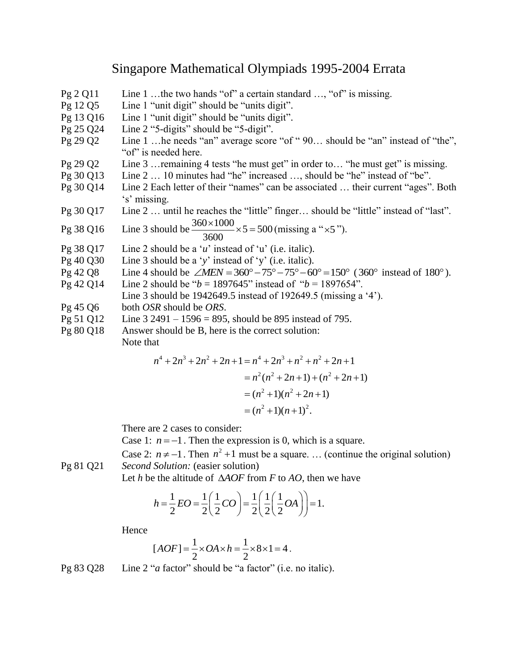## Singapore Mathematical Olympiads 1995-2004 Errata

- Pg 2 Q11 Line 1 …the two hands "of" a certain standard …, "of" is missing.
- Pg 12 Q5 Line 1 "unit digit" should be "units digit".
- Pg 13 Q16 Line 1 "unit digit" should be "units digit".
- Pg 25 Q24 Line 2 "5-digits" should be "5-digit".
- Pg 29 Q2 Line 1 …he needs "an" average score "of " 90… should be "an" instead of "the", "of" is needed here.
- Pg 29 Q2 Line 3 …remaining 4 tests "he must get" in order to… "he must get" is missing.
- Pg 30 Q13 Line 2 … 10 minutes had "he" increased …, should be "he" instead of "be".
- Pg 30 Q14 Line 2 Each letter of their "names" can be associated … their current "ages". Both 's' missing.
- Pg 30 Q17 Line 2 … until he reaches the "little" finger… should be "little" instead of "last".

\n
$$
\text{Pg } 38 \, \text{Q16}
$$
\n \quad \text{Line } 3 \, \text{should be} \, \frac{360 \times 1000}{3600} \times 5 = 500 \, \text{(missing a "x5").}\n

- 3600
- Pg 38 Q17 Line 2 should be a '*u*' instead of 'u' (i.e. italic).
- Pg 40 Q30 Line 3 should be a '*y*' instead of 'y' (i.e. italic).
- Pg 40 Q30 Line 3 should be a 'y' instead of 'y' (i.e. italic).<br>Pg 42 Q8 Line 4 should be  $\angle MEN = 360^{\circ} 75^{\circ} 75^{\circ} 60^{\circ} = 150^{\circ}$  (360° instead of 180°).
- Pg 42 Q14 Line 2 should be "*b* = 1897645" instead of "*b* = 1897654".
- Line 3 should be 1942649.5 instead of 192649.5 (missing a '4').
- Pg 45 Q6 both *OSR* should be *ORS*.
- Pg 51 Q12 Line 3 2491 1596 = 895, should be 895 instead of 795.
- Pg 80 Q18 Answer should be B, here is the correct solution:

Note that

at  
\n
$$
n^4 + 2n^3 + 2n^2 + 2n + 1 = n^4 + 2n^3 + n^2 + n^2 + 2n + 1
$$
\n
$$
= n^2(n^2 + 2n + 1) + (n^2 + 2n + 1)
$$
\n
$$
= (n^2 + 1)(n^2 + 2n + 1)
$$
\n
$$
= (n^2 + 1)(n + 1)^2.
$$

There are 2 cases to consider:

Case 1:  $n = -1$ . Then the expression is 0, which is a square.

Case 2:  $n \neq -1$ . Then  $n^2 + 1$  must be a square. ... (continue the original solution) Pg 81 Q21 *Second Solution:* (easier solution)

Let *h* be the altitude of 
$$
\triangle AOF
$$
 from *F* to *AO*, then we have  
\n
$$
h = \frac{1}{2}EO = \frac{1}{2} \left(\frac{1}{2}CO\right) = \frac{1}{2} \left(\frac{1}{2} \left(\frac{1}{2}OA\right)\right) = 1.
$$

Hence

$$
[AOF] = \frac{1}{2} \times OA \times h = \frac{1}{2} \times 8 \times 1 = 4.
$$

Pg 83 Q28 Line 2 "*a* factor" should be "a factor" (i.e. no italic).